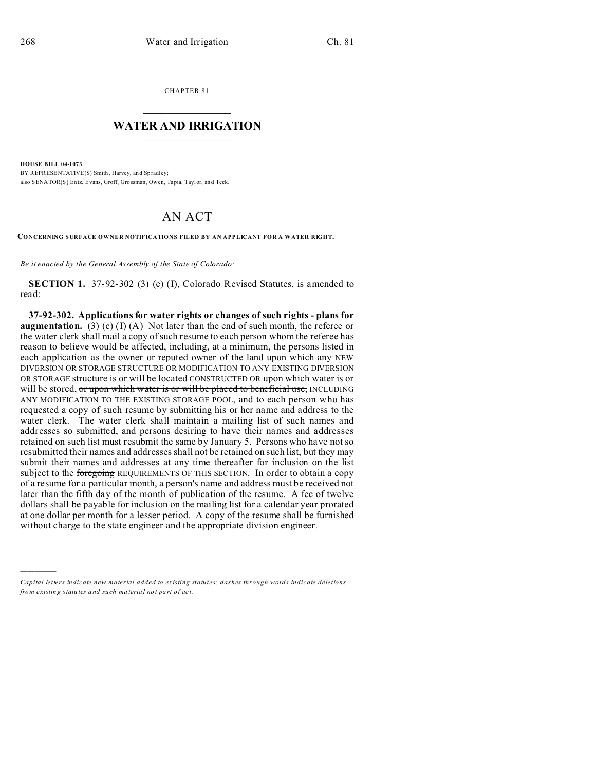)))))

CHAPTER 81  $\overline{\phantom{a}}$  , where  $\overline{\phantom{a}}$ 

## **WATER AND IRRIGATION**  $\_$   $\_$   $\_$   $\_$   $\_$   $\_$   $\_$   $\_$   $\_$

**HOUSE BILL 04-1073** BY REPRESENTATIVE(S) Smith, Harvey, and Spradley; also SENATOR(S) Entz, Evans, Groff, Grossman, Owen, Tapia, Taylor, an d Teck.

## AN ACT

**CONCERNING SURFACE OWNER NOTIFICATIONS FILED BY AN APPLICANT FOR A WATER RIGHT.**

*Be it enacted by the General Assembly of the State of Colorado:*

**SECTION 1.** 37-92-302 (3) (c) (I), Colorado Revised Statutes, is amended to read:

**37-92-302. Applications for water rights or changes of such rights - plans for augmentation.** (3) (c) (I) (A) Not later than the end of such month, the referee or the water clerk shall mail a copy of such resume to each person whom the referee has reason to believe would be affected, including, at a minimum, the persons listed in each application as the owner or reputed owner of the land upon which any NEW DIVERSION OR STORAGE STRUCTURE OR MODIFICATION TO ANY EXISTING DIVERSION OR STORAGE structure is or will be located CONSTRUCTED OR upon which water is or will be stored, or upon which water is or will be placed to beneficial use, INCLUDING ANY MODIFICATION TO THE EXISTING STORAGE POOL, and to each person who has requested a copy of such resume by submitting his or her name and address to the water clerk. The water clerk shall maintain a mailing list of such names and addresses so submitted, and persons desiring to have their names and addresses retained on such list must resubmit the same by January 5. Persons who have not so resubmitted their names and addresses shall not be retained on such list, but they may submit their names and addresses at any time thereafter for inclusion on the list subject to the foregoing REQUIREMENTS OF THIS SECTION. In order to obtain a copy of a resume for a particular month, a person's name and address must be received not later than the fifth day of the month of publication of the resume. A fee of twelve dollars shall be payable for inclusion on the mailing list for a calendar year prorated at one dollar per month for a lesser period. A copy of the resume shall be furnished without charge to the state engineer and the appropriate division engineer.

*Capital letters indicate new material added to existing statutes; dashes through words indicate deletions from e xistin g statu tes a nd such ma teria l no t pa rt of ac t.*